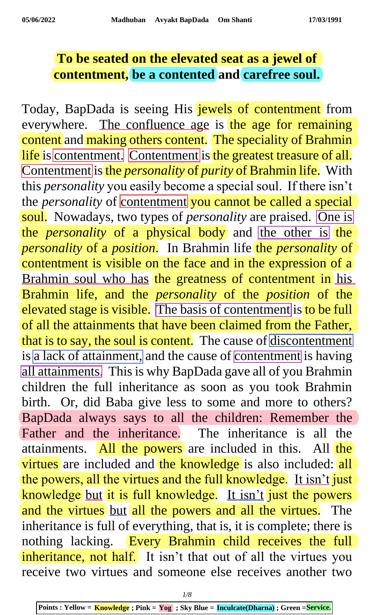## **To be seated on the elevated seat as a jewel of contentment, be a contented and carefree soul.**

Today, BapDada is seeing His jewels of contentment from everywhere. The confluence age is the age for remaining content and making others content. The speciality of Brahmin life is contentment. Contentment is the greatest treasure of all. Contentment is the *personality* of *purity* of Brahmin life. With this *personality* you easily become a special soul. If there isn't the *personality* of contentment you cannot be called a special soul. Nowadays, two types of *personality* are praised. One is the *personality* of a physical body and the other is the *personality* of a *position*. In Brahmin life the *personality* of contentment is visible on the face and in the expression of a Brahmin soul who has the greatness of contentment in his Brahmin life, and the *personality* of the *position* of the elevated stage is visible. The basis of contentment is to be full of all the attainments that have been claimed from the Father, that is to say, the soul is content. The cause of discontentment is a lack of attainment, and the cause of contentment is having all attainments. This is why BapDada gave all of you Brahmin children the full inheritance as soon as you took Brahmin birth. Or, did Baba give less to some and more to others? BapDada always says to all the children: Remember the Father and the inheritance. The inheritance is all the attainments. All the powers are included in this. All the virtues are included and the knowledge is also included: all the powers, all the virtues and the full knowledge. It isn't just knowledge but it is full knowledge. It isn't just the powers and the virtues but all the powers and all the virtues. The inheritance is full of everything, that is, it is complete; there is nothing lacking. Every Brahmin child receives the full inheritance, not half. It isn't that out of all the virtues you receive two virtues and someone else receives another two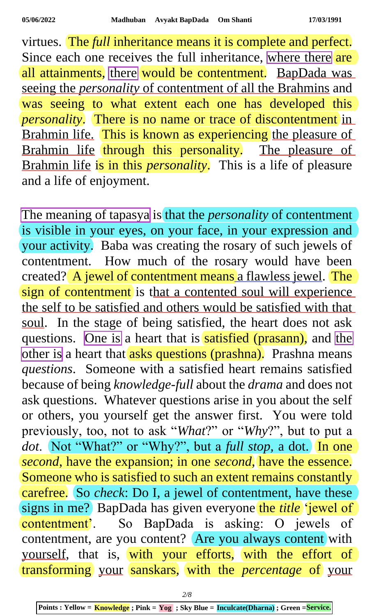virtues. The *full* inheritance means it is complete and perfect. Since each one receives the full inheritance, where there are all attainments, there would be contentment. BapDada was seeing the *personality* of contentment of all the Brahmins and was seeing to what extent each one has developed this *personality*. There is no name or trace of discontentment in Brahmin life. This is known as experiencing the pleasure of Brahmin life through this personality. The pleasure of Brahmin life is in this *personality*. This is a life of pleasure and a life of enjoyment.

The meaning of tapasya is that the *personality* of contentment is visible in your eyes, on your face, in your expression and your activity. Baba was creating the rosary of such jewels of contentment. How much of the rosary would have been created? A jewel of contentment means a flawless jewel. The sign of contentment is that a contented soul will experience the self to be satisfied and others would be satisfied with that soul. In the stage of being satisfied, the heart does not ask questions. One is a heart that is satisfied (prasann), and the other is a heart that asks questions (prashna). Prashna means *questions*. Someone with a satisfied heart remains satisfied because of being *knowledge-full* about the *drama* and does not ask questions. Whatever questions arise in you about the self or others, you yourself get the answer first. You were told previously, too, not to ask "*What*?" or "*Why*?", but to put a *dot*. Not "What?" or "Why?", but a *full stop,* a dot. In one *second*, have the expansion; in one *second*, have the essence. Someone who is satisfied to such an extent remains constantly carefree. So *check*: Do I, a jewel of contentment, have these signs in me? BapDada has given everyone the *title* 'jewel of contentment'. So BapDada is asking: O jewels of contentment, are you content? Are you always content with yourself, that is, with your efforts, with the effort of transforming your sanskars, with the *percentage* of your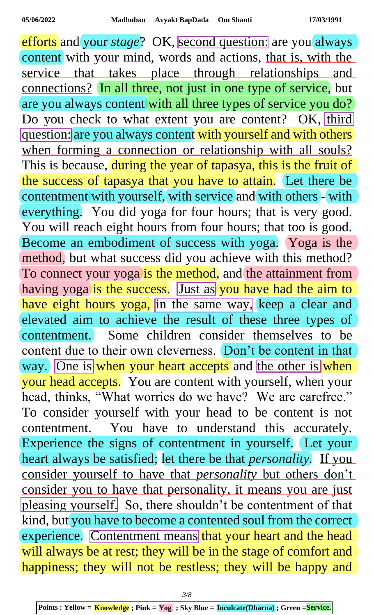efforts and your *stage*? OK, second question: are you always content with your mind, words and actions, that is, with the service that takes place through relationships and connections? In all three, not just in one type of service, but are you always content with all three types of service you do? Do you check to what extent you are content? OK, third question: are you always content with yourself and with others when forming a connection or relationship with all souls? This is because, during the year of tapasya, this is the fruit of the success of tapasya that you have to attain. Let there be contentment with yourself, with service and with others - with everything. You did yoga for four hours; that is very good. You will reach eight hours from four hours; that too is good. Become an embodiment of success with yoga. Yoga is the method, but what success did you achieve with this method? To connect your yogalis the method, and the attainment from having yoga is the success. Just as you have had the aim to have eight hours yoga, in the same way, keep a clear and elevated aim to achieve the result of these three types of contentment. Some children consider themselves to be content due to their own cleverness. Don't be content in that way. One is when your heart accepts and the other is when your head accepts. You are content with yourself, when your head, thinks, "What worries do we have? We are carefree." To consider yourself with your head to be content is not contentment. You have to understand this accurately. Experience the signs of contentment in yourself. Let your heart always be satisfied; let there be that *personality.* If you consider yourself to have that *personality* but others don't consider you to have that personality, it means you are just pleasing yourself. So, there shouldn't be contentment of that kind, but you have to become a contented soul from the correct experience. Contentment means that your heart and the head will always be at rest; they will be in the stage of comfort and happiness; they will not be restless; they will be happy and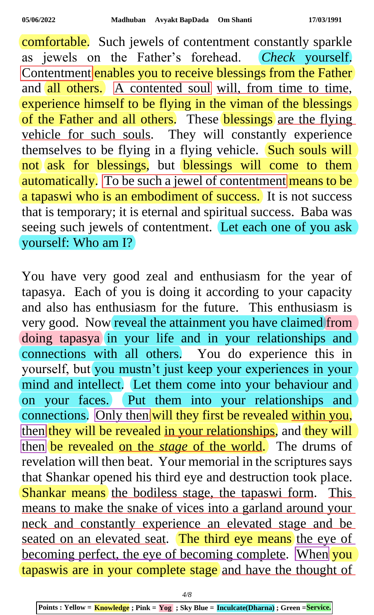comfortable. Such jewels of contentment constantly sparkle as jewels on the Father's forehead. *Check* yourself. Contentment enables you to receive blessings from the Father and all others. A contented soul will, from time to time, experience himself to be flying in the viman of the blessings of the Father and all others. These blessings are the flying vehicle for such souls. They will constantly experience themselves to be flying in a flying vehicle. Such souls will not ask for blessings, but blessings will come to them automatically. To be such a jewel of contentment means to be a tapaswi who is an embodiment of success. It is not success that is temporary; it is eternal and spiritual success. Baba was seeing such jewels of contentment. Let each one of you ask yourself: Who am I?

You have very good zeal and enthusiasm for the year of tapasya. Each of you is doing it according to your capacity and also has enthusiasm for the future. This enthusiasm is very good. Now reveal the attainment you have claimed from doing tapasya in your life and in your relationships and connections with all others. You do experience this in yourself, but you mustn't just keep your experiences in your mind and intellect. Let them come into your behaviour and on your faces. Put them into your relationships and connections. Only then will they first be revealed within you, then they will be revealed in your relationships, and they will then be revealed on the *stage* of the world. The drums of revelation will then beat. Your memorial in the scriptures says that Shankar opened his third eye and destruction took place. Shankar means the bodiless stage, the tapaswi form. This means to make the snake of vices into a garland around your neck and constantly experience an elevated stage and be seated on an elevated seat. The third eye means the eye of becoming perfect, the eye of becoming complete. When you tapaswis are in your complete stage and have the thought of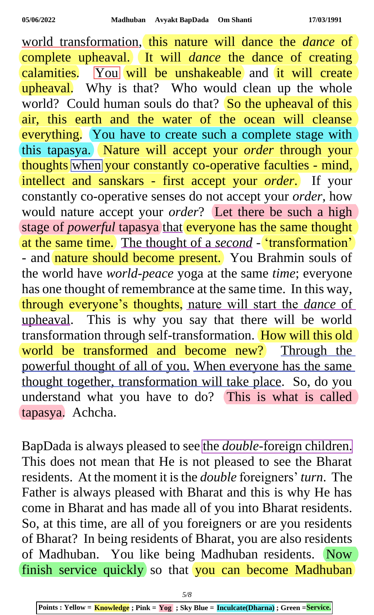world transformation, this nature will dance the *dance* of complete upheaval. It will *dance* the dance of creating calamities. You will be unshakeable and it will create upheaval. Why is that? Who would clean up the whole world? Could human souls do that? So the upheaval of this air, this earth and the water of the ocean will cleanse everything. You have to create such a complete stage with this tapasya. Nature will accept your *order* through your thoughts when your constantly co-operative faculties - mind, intellect and sanskars - first accept your *order*. If your constantly co-operative senses do not accept your *order*, how would nature accept your *order*? Let there be such a high stage of *powerful* tapasya that everyone has the same thought at the same time. The thought of a *second* - 'transformation' - and nature should become present. You Brahmin souls of the world have *world-peace* yoga at the same *time*; everyone has one thought of remembrance at the same time. In this way, through everyone's thoughts, nature will start the *dance* of upheaval. This is why you say that there will be world transformation through self-transformation. How will this old world be transformed and become new? Through the powerful thought of all of you. When everyone has the same thought together, transformation will take place. So, do you understand what you have to do? This is what is called tapasya. Achcha.

BapDada is always pleased to see the *double-*foreign children. This does not mean that He is not pleased to see the Bharat residents. At the moment it is the *double* foreigners' *turn*. The Father is always pleased with Bharat and this is why He has come in Bharat and has made all of you into Bharat residents. So, at this time, are all of you foreigners or are you residents of Bharat? In being residents of Bharat, you are also residents of Madhuban. You like being Madhuban residents. Now finish service quickly so that you can become Madhuban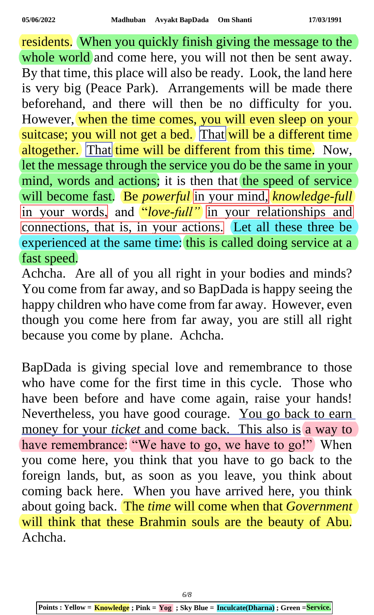residents. When you quickly finish giving the message to the whole world and come here, you will not then be sent away. By that time, this place will also be ready. Look, the land here is very big (Peace Park). Arrangements will be made there beforehand, and there will then be no difficulty for you. However, when the time comes, you will even sleep on your suitcase; you will not get a bed. That will be a different time altogether. That time will be different from this time. Now, let the message through the service you do be the same in your mind, words and actions; it is then that the speed of service will become fast. Be *powerful* in your mind, *knowledge-full* in your words, and *"love-full"* in your relationships and connections, that is, in your actions. Let all these three be experienced at the same time: this is called doing service at a fast speed.

Achcha. Are all of you all right in your bodies and minds? You come from far away, and so BapDada is happy seeing the happy children who have come from far away. However, even though you come here from far away, you are still all right because you come by plane. Achcha.

BapDada is giving special love and remembrance to those who have come for the first time in this cycle. Those who have been before and have come again, raise your hands! Nevertheless, you have good courage. You go back to earn money for your *ticket* and come back. This also is a way to have remembrance: "We have to go, we have to go!" When you come here, you think that you have to go back to the foreign lands, but, as soon as you leave, you think about coming back here. When you have arrived here, you think about going back. The *time* will come when that *Government* will think that these Brahmin souls are the beauty of Abu. Achcha.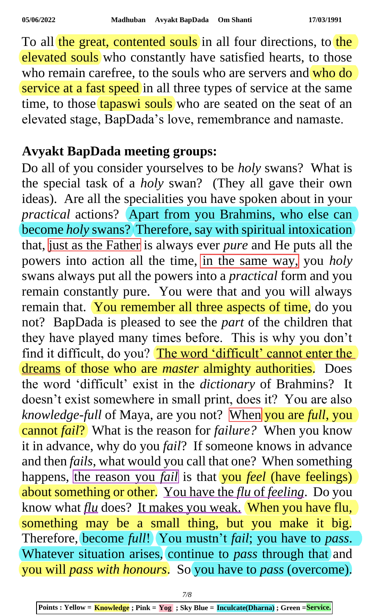To all the great, contented souls in all four directions, to the elevated souls who constantly have satisfied hearts, to those who remain carefree, to the souls who are servers and who do service at a fast speed in all three types of service at the same time, to those tapaswi souls who are seated on the seat of an elevated stage, BapDada's love, remembrance and namaste.

## **Avyakt BapDada meeting groups:**

Do all of you consider yourselves to be *holy* swans? What is the special task of a *holy* swan? (They all gave their own ideas). Are all the specialities you have spoken about in your *practical* actions? Apart from you Brahmins, who else can become *holy* swans? Therefore, say with spiritual intoxication that, just as the Father is always ever *pure* and He puts all the powers into action all the time, in the same way, you *holy* swans always put all the powers into a *practical* form and you remain constantly pure. You were that and you will always remain that. You remember all three aspects of time, do you not? BapDada is pleased to see the *part* of the children that they have played many times before. This is why you don't find it difficult, do you? The word 'difficult' cannot enter the dreams of those who are *master* almighty authorities. Does the word 'difficult' exist in the *dictionary* of Brahmins? It doesn't exist somewhere in small print, does it? You are also *knowledge-full* of Maya, are you not? When you are *full*, you cannot *fail*? What is the reason for *failure?* When you know it in advance, why do you *fail*? If someone knows in advance and then *fails*, what would you call that one? When something happens, the reason you *fail* is that you *feel* (have feelings) about something or other. You have the *flu* of *feeling*. Do you know what *flu* does? It makes you weak. When you have flu, something may be a small thing, but you make it big. Therefore, become *full*! You mustn't *fail*; you have to *pass*. Whatever situation arises, continue to *pass* through that and you will *pass with honours*. So you have to *pass* (overcome).